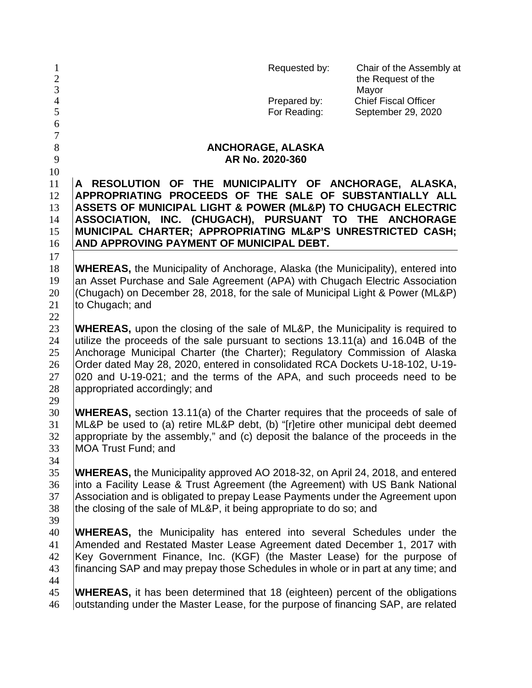| $\mathbf{1}$<br>$\sqrt{2}$<br>$\mathfrak{Z}$ | Requested by:<br>Chair of the Assembly at<br>the Request of the<br>Mayor                                                                                                                                                                                                                                                                                                                                                                              |  |  |  |  |  |
|----------------------------------------------|-------------------------------------------------------------------------------------------------------------------------------------------------------------------------------------------------------------------------------------------------------------------------------------------------------------------------------------------------------------------------------------------------------------------------------------------------------|--|--|--|--|--|
| $\overline{4}$<br>5<br>6                     | <b>Chief Fiscal Officer</b><br>Prepared by:<br>For Reading:<br>September 29, 2020                                                                                                                                                                                                                                                                                                                                                                     |  |  |  |  |  |
| $\overline{7}$<br>8<br>9                     | ANCHORAGE, ALASKA<br>AR No. 2020-360                                                                                                                                                                                                                                                                                                                                                                                                                  |  |  |  |  |  |
| 10<br>11<br>12<br>13<br>14<br>15<br>16       | A RESOLUTION OF THE MUNICIPALITY OF ANCHORAGE, ALASKA,<br>APPROPRIATING PROCEEDS OF THE SALE OF SUBSTANTIALLY ALL<br>ASSETS OF MUNICIPAL LIGHT & POWER (ML&P) TO CHUGACH ELECTRIC<br>ASSOCIATION, INC. (CHUGACH), PURSUANT TO THE ANCHORAGE<br>MUNICIPAL CHARTER; APPROPRIATING ML&P'S UNRESTRICTED CASH;<br>AND APPROVING PAYMENT OF MUNICIPAL DEBT.                                                                                                 |  |  |  |  |  |
| 17<br>18<br>19<br>20<br>21<br>22             | <b>WHEREAS</b> , the Municipality of Anchorage, Alaska (the Municipality), entered into<br>an Asset Purchase and Sale Agreement (APA) with Chugach Electric Association<br>(Chugach) on December 28, 2018, for the sale of Municipal Light & Power (ML&P)<br>to Chugach; and                                                                                                                                                                          |  |  |  |  |  |
| 23<br>24<br>25<br>26<br>27<br>28<br>29       | <b>WHEREAS,</b> upon the closing of the sale of ML&P, the Municipality is required to<br>utilize the proceeds of the sale pursuant to sections 13.11(a) and 16.04B of the<br>Anchorage Municipal Charter (the Charter); Regulatory Commission of Alaska<br>Order dated May 28, 2020, entered in consolidated RCA Dockets U-18-102, U-19-<br>020 and U-19-021; and the terms of the APA, and such proceeds need to be<br>appropriated accordingly; and |  |  |  |  |  |
| 30<br>31<br>32<br>33<br>34                   | <b>WHEREAS,</b> section 13.11(a) of the Charter requires that the proceeds of sale of<br>ML&P be used to (a) retire ML&P debt, (b) "[r]etire other municipal debt deemed<br>appropriate by the assembly," and (c) deposit the balance of the proceeds in the<br><b>MOA Trust Fund; and</b>                                                                                                                                                            |  |  |  |  |  |
| 35<br>36<br>37<br>38<br>39                   | <b>WHEREAS, the Municipality approved AO 2018-32, on April 24, 2018, and entered</b><br>into a Facility Lease & Trust Agreement (the Agreement) with US Bank National<br>Association and is obligated to prepay Lease Payments under the Agreement upon<br>the closing of the sale of ML&P, it being appropriate to do so; and                                                                                                                        |  |  |  |  |  |
| 40<br>41<br>42<br>43<br>44                   | <b>WHEREAS,</b> the Municipality has entered into several Schedules under the<br>Amended and Restated Master Lease Agreement dated December 1, 2017 with<br>Key Government Finance, Inc. (KGF) (the Master Lease) for the purpose of<br>financing SAP and may prepay those Schedules in whole or in part at any time; and                                                                                                                             |  |  |  |  |  |
| 45<br>46                                     | <b>WHEREAS</b> , it has been determined that 18 (eighteen) percent of the obligations<br>outstanding under the Master Lease, for the purpose of financing SAP, are related                                                                                                                                                                                                                                                                            |  |  |  |  |  |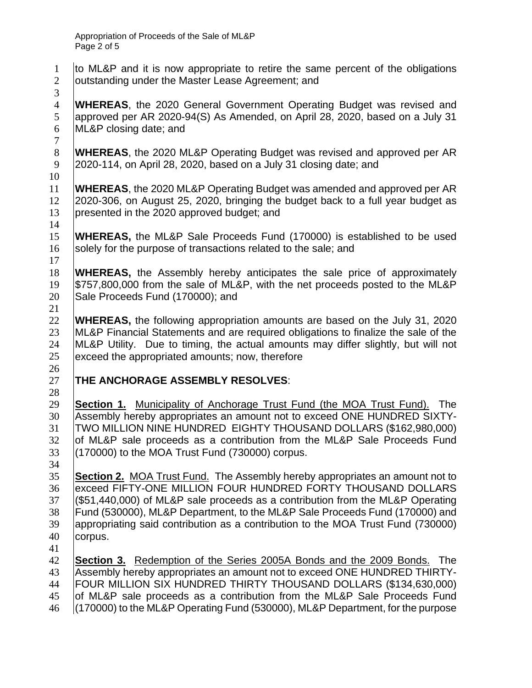to ML&P and it is now appropriate to retire the same percent of the obligations **Joutstanding under the Master Lease Agreement; and** 

 **WHEREAS**, the 2020 General Government Operating Budget was revised and approved per AR 2020-94(S) As Amended, on April 28, 2020, based on a July 31 ML&P closing date; and

8 **WHEREAS**, the 2020 ML&P Operating Budget was revised and approved per AR<br>9 2020-114, on April 28, 2020, based on a July 31 closing date: and 2020-114, on April 28, 2020, based on a July 31 closing date; and

 **WHEREAS**, the 2020 ML&P Operating Budget was amended and approved per AR<br>12 2020-306, on August 25, 2020, bringing the budget back to a full year budget as 2020-306, on August 25, 2020, bringing the budget back to a full year budget as presented in the 2020 approved budget; and 

 **WHEREAS,** the ML&P Sale Proceeds Fund (170000) is established to be used 16 Solely for the purpose of transactions related to the sale; and

 **WHEREAS,** the Assembly hereby anticipates the sale price of approximately \$757,800,000 from the sale of ML&P, with the net proceeds posted to the ML&P 20 Sale Proceeds Fund (170000); and

 **WHEREAS,** the following appropriation amounts are based on the July 31, 2020 ML&P Financial Statements and are required obligations to finalize the sale of the ML&P Utility. Due to timing, the actual amounts may differ slightly, but will not exceed the appropriated amounts; now, therefore

## **THE ANCHORAGE ASSEMBLY RESOLVES**:

 **Section 1.** Municipality of Anchorage Trust Fund (the MOA Trust Fund). The Assembly hereby appropriates an amount not to exceed ONE HUNDRED SIXTY- TWO MILLION NINE HUNDRED EIGHTY THOUSAND DOLLARS (\$162,980,000) 32 of ML&P sale proceeds as a contribution from the ML&P Sale Proceeds Fund (170000) to the MOA Trust Fund (730000) corpus.

 **Section 2.** MOA Trust Fund. The Assembly hereby appropriates an amount not to 36 exceed FIFTY-ONE MILLION FOUR HUNDRED FORTY THOUSAND DOLLARS (\$51,440,000) of ML&P sale proceeds as a contribution from the ML&P Operating Fund (530000), ML&P Department, to the ML&P Sale Proceeds Fund (170000) and appropriating said contribution as a contribution to the MOA Trust Fund (730000) corpus.

 **Section 3.** Redemption of the Series 2005A Bonds and the 2009 Bonds. The Assembly hereby appropriates an amount not to exceed ONE HUNDRED THIRTY- FOUR MILLION SIX HUNDRED THIRTY THOUSAND DOLLARS (\$134,630,000) of ML&P sale proceeds as a contribution from the ML&P Sale Proceeds Fund (170000) to the ML&P Operating Fund (530000), ML&P Department, for the purpose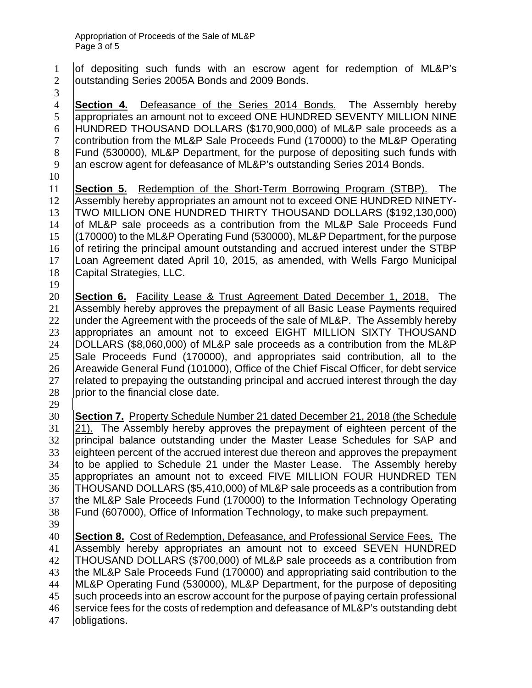1 of depositing such funds with an escrow agent for redemption of ML&P's **Joutstanding Series 2005A Bonds and 2009 Bonds.** 

 **Section 4.** Defeasance of the Series 2014 Bonds. The Assembly hereby 5 appropriates an amount not to exceed ONE HUNDRED SEVENTY MILLION NINE HUNDRED THOUSAND DOLLARS (\$170,900,000) of ML&P sale proceeds as a contribution from the ML&P Sale Proceeds Fund (170000) to the ML&P Operating Fund (530000), ML&P Department, for the purpose of depositing such funds with 9 an escrow agent for defeasance of ML&P's outstanding Series 2014 Bonds.

**Section 5.** Redemption of the Short-Term Borrowing Program (STBP). The 12 Assembly hereby appropriates an amount not to exceed ONE HUNDRED NINETY-Assembly hereby appropriates an amount not to exceed ONE HUNDRED NINETY- TWO MILLION ONE HUNDRED THIRTY THOUSAND DOLLARS (\$192,130,000) 14 of ML&P sale proceeds as a contribution from the ML&P Sale Proceeds Fund (170000) to the ML&P Operating Fund (530000), ML&P Department, for the purpose 16 of retiring the principal amount outstanding and accrued interest under the STBP Loan Agreement dated April 10, 2015, as amended, with Wells Fargo Municipal Capital Strategies, LLC.

 **Section 6.** Facility Lease & Trust Agreement Dated December 1, 2018. The Assembly hereby approves the prepayment of all Basic Lease Payments required 22 Junder the Agreement with the proceeds of the sale of ML&P. The Assembly hereby 23 appropriates an amount not to exceed EIGHT MILLION SIXTY THOUSAND DOLLARS (\$8,060,000) of ML&P sale proceeds as a contribution from the ML&P 25 Sale Proceeds Fund (170000), and appropriates said contribution, all to the 26 Areawide General Fund (101000), Office of the Chief Fiscal Officer, for debt service related to prepaying the outstanding principal and accrued interest through the day 28 prior to the financial close date.

 **Section 7.** Property Schedule Number 21 dated December 21, 2018 (the Schedule 21). The Assembly hereby approves the prepayment of eighteen percent of the 32 principal balance outstanding under the Master Lease Schedules for SAP and eighteen percent of the accrued interest due thereon and approves the prepayment 34 to be applied to Schedule 21 under the Master Lease. The Assembly hereby 35 appropriates an amount not to exceed FIVE MILLION FOUR HUNDRED TEN THOUSAND DOLLARS (\$5,410,000) of ML&P sale proceeds as a contribution from 37 Ithe ML&P Sale Proceeds Fund (170000) to the Information Technology Operating Fund (607000), Office of Information Technology, to make such prepayment.

 **Section 8.** Cost of Redemption, Defeasance, and Professional Service Fees. The Assembly hereby appropriates an amount not to exceed SEVEN HUNDRED THOUSAND DOLLARS (\$700,000) of ML&P sale proceeds as a contribution from the ML&P Sale Proceeds Fund (170000) and appropriating said contribution to the ML&P Operating Fund (530000), ML&P Department, for the purpose of depositing such proceeds into an escrow account for the purpose of paying certain professional service fees for the costs of redemption and defeasance of ML&P's outstanding debt **obligations**.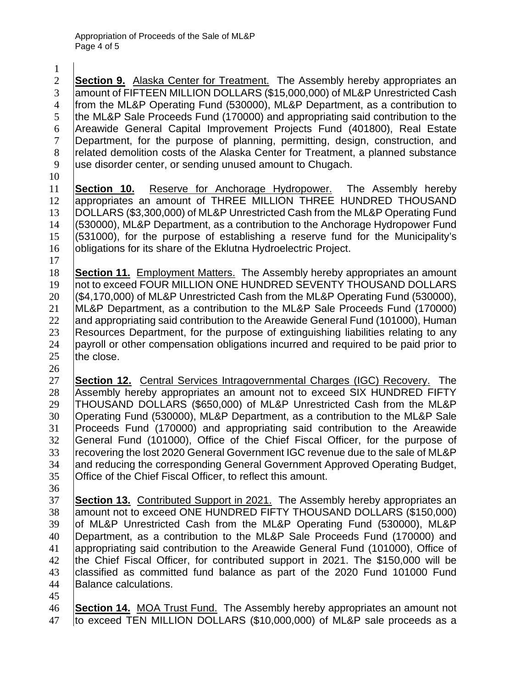**Section 9.** Alaska Center for Treatment. The Assembly hereby appropriates an 3 amount of FIFTEEN MILLION DOLLARS (\$15,000,000) of ML&P Unrestricted Cash from the ML&P Operating Fund (530000), ML&P Department, as a contribution to 5 the ML&P Sale Proceeds Fund (170000) and appropriating said contribution to the Areawide General Capital Improvement Projects Fund (401800), Real Estate Department, for the purpose of planning, permitting, design, construction, and 8 related demolition costs of the Alaska Center for Treatment, a planned substance use disorder center, or sending unused amount to Chugach.

**Section 10.** Reserve for Anchorage Hydropower. The Assembly hereby<br>12 appropriates an amount of THREE MILLION THREE HUNDRED THOUSAND appropriates an amount of THREE MILLION THREE HUNDRED THOUSAND DOLLARS (\$3,300,000) of ML&P Unrestricted Cash from the ML&P Operating Fund (530000), ML&P Department, as a contribution to the Anchorage Hydropower Fund (531000), for the purpose of establishing a reserve fund for the Municipality's **obligations for its share of the Eklutna Hydroelectric Project.** 

 **Section 11.** Employment Matters. The Assembly hereby appropriates an amount 19 | not to exceed FOUR MILLION ONE HUNDRED SEVENTY THOUSAND DOLLARS (\$4,170,000) of ML&P Unrestricted Cash from the ML&P Operating Fund (530000), ML&P Department, as a contribution to the ML&P Sale Proceeds Fund (170000) 22 and appropriating said contribution to the Areawide General Fund (101000), Human Resources Department, for the purpose of extinguishing liabilities relating to any 24 payroll or other compensation obligations incurred and required to be paid prior to  $the close.$ 

 **Section 12.** Central Services Intragovernmental Charges (IGC) Recovery. The 28 Assembly hereby appropriates an amount not to exceed SIX HUNDRED FIFTY THOUSAND DOLLARS (\$650,000) of ML&P Unrestricted Cash from the ML&P Operating Fund (530000), ML&P Department, as a contribution to the ML&P Sale Proceeds Fund (170000) and appropriating said contribution to the Areawide General Fund (101000), Office of the Chief Fiscal Officer, for the purpose of 33 Fecovering the lost 2020 General Government IGC revenue due to the sale of ML&P 34 and reducing the corresponding General Government Approved Operating Budget, Office of the Chief Fiscal Officer, to reflect this amount.

 **Section 13.** Contributed Support in 2021. The Assembly hereby appropriates an 38 amount not to exceed ONE HUNDRED FIFTY THOUSAND DOLLARS (\$150,000) 39 of ML&P Unrestricted Cash from the ML&P Operating Fund (530000), ML&P Department, as a contribution to the ML&P Sale Proceeds Fund (170000) and appropriating said contribution to the Areawide General Fund (101000), Office of the Chief Fiscal Officer, for contributed support in 2021. The \$150,000 will be classified as committed fund balance as part of the 2020 Fund 101000 Fund Balance calculations.

 **Section 14.** MOA Trust Fund. The Assembly hereby appropriates an amount not 47 to exceed TEN MILLION DOLLARS (\$10,000,000) of ML&P sale proceeds as a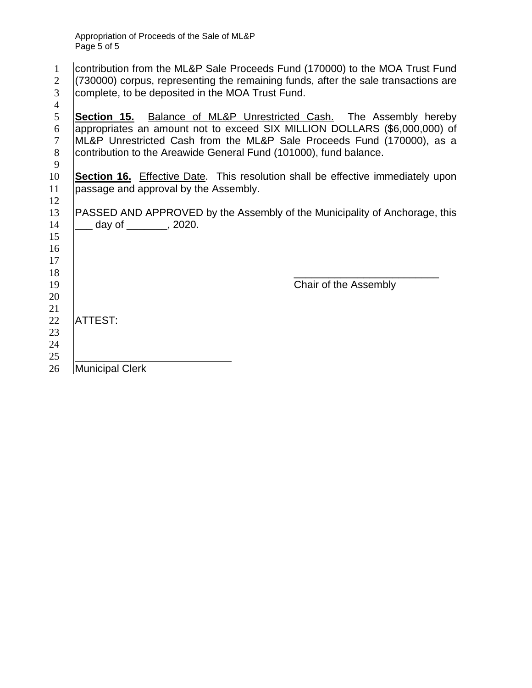| $\mathbf{1}$<br>$\overline{2}$ | contribution from the ML&P Sale Proceeds Fund (170000) to the MOA Trust Fund<br>(730000) corpus, representing the remaining funds, after the sale transactions are                                                                                                                             |
|--------------------------------|------------------------------------------------------------------------------------------------------------------------------------------------------------------------------------------------------------------------------------------------------------------------------------------------|
| 3<br>$\overline{4}$            | complete, to be deposited in the MOA Trust Fund.                                                                                                                                                                                                                                               |
| 5<br>6<br>$\tau$<br>8          | Section 15. Balance of ML&P Unrestricted Cash. The Assembly hereby<br>appropriates an amount not to exceed SIX MILLION DOLLARS (\$6,000,000) of<br>ML&P Unrestricted Cash from the ML&P Sale Proceeds Fund (170000), as a<br>contribution to the Areawide General Fund (101000), fund balance. |
| 9<br>10<br>11<br>12            | <b>Section 16.</b> Effective Date. This resolution shall be effective immediately upon<br>passage and approval by the Assembly.                                                                                                                                                                |
| 13<br>14<br>15<br>16<br>17     | PASSED AND APPROVED by the Assembly of the Municipality of Anchorage, this<br>__ day of ________, 2020.                                                                                                                                                                                        |
| 18<br>19<br>20<br>21           | Chair of the Assembly                                                                                                                                                                                                                                                                          |
| 22<br>23<br>24<br>25           | <b>ATTEST:</b>                                                                                                                                                                                                                                                                                 |
| 26                             | <b>Municipal Clerk</b>                                                                                                                                                                                                                                                                         |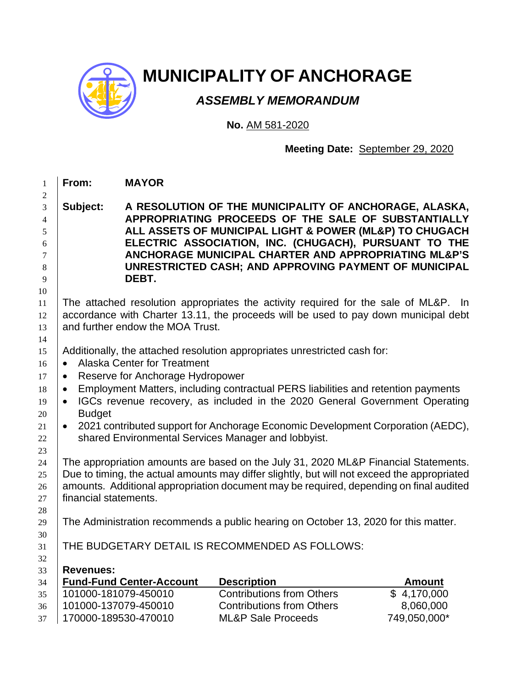

## **MUNICIPALITY OF ANCHORAGE**

## *ASSEMBLY MEMORANDUM*

**No.** AM 581-2020

## **Meeting Date:** September 29, 2020

| Subject:<br>DEBT.<br>The attached resolution appropriates the activity required for the sale of ML&P. In<br>accordance with Charter 13.11, the proceeds will be used to pay down municipal debt<br>and further endow the MOA Trust.<br>Additionally, the attached resolution appropriates unrestricted cash for:<br><b>Alaska Center for Treatment</b><br>$\bullet$<br>Reserve for Anchorage Hydropower<br>$\bullet$<br>Employment Matters, including contractual PERS liabilities and retention payments<br>$\bullet$<br>IGCs revenue recovery, as included in the 2020 General Government Operating<br>$\bullet$<br><b>Budget</b><br>2021 contributed support for Anchorage Economic Development Corporation (AEDC),<br>$\bullet$<br>shared Environmental Services Manager and lobbyist.<br>The appropriation amounts are based on the July 31, 2020 ML&P Financial Statements.<br>financial statements. | A RESOLUTION OF THE MUNICIPALITY OF ANCHORAGE, ALASKA,<br>APPROPRIATING PROCEEDS OF THE SALE OF SUBSTANTIALLY<br>ALL ASSETS OF MUNICIPAL LIGHT & POWER (ML&P) TO CHUGACH<br>ELECTRIC ASSOCIATION, INC. (CHUGACH), PURSUANT TO THE<br>ANCHORAGE MUNICIPAL CHARTER AND APPROPRIATING ML&P'S<br>UNRESTRICTED CASH; AND APPROVING PAYMENT OF MUNICIPAL |                                        |  |  |  |  |  |
|------------------------------------------------------------------------------------------------------------------------------------------------------------------------------------------------------------------------------------------------------------------------------------------------------------------------------------------------------------------------------------------------------------------------------------------------------------------------------------------------------------------------------------------------------------------------------------------------------------------------------------------------------------------------------------------------------------------------------------------------------------------------------------------------------------------------------------------------------------------------------------------------------------|----------------------------------------------------------------------------------------------------------------------------------------------------------------------------------------------------------------------------------------------------------------------------------------------------------------------------------------------------|----------------------------------------|--|--|--|--|--|
|                                                                                                                                                                                                                                                                                                                                                                                                                                                                                                                                                                                                                                                                                                                                                                                                                                                                                                            |                                                                                                                                                                                                                                                                                                                                                    |                                        |  |  |  |  |  |
|                                                                                                                                                                                                                                                                                                                                                                                                                                                                                                                                                                                                                                                                                                                                                                                                                                                                                                            |                                                                                                                                                                                                                                                                                                                                                    |                                        |  |  |  |  |  |
|                                                                                                                                                                                                                                                                                                                                                                                                                                                                                                                                                                                                                                                                                                                                                                                                                                                                                                            |                                                                                                                                                                                                                                                                                                                                                    |                                        |  |  |  |  |  |
|                                                                                                                                                                                                                                                                                                                                                                                                                                                                                                                                                                                                                                                                                                                                                                                                                                                                                                            |                                                                                                                                                                                                                                                                                                                                                    |                                        |  |  |  |  |  |
|                                                                                                                                                                                                                                                                                                                                                                                                                                                                                                                                                                                                                                                                                                                                                                                                                                                                                                            |                                                                                                                                                                                                                                                                                                                                                    |                                        |  |  |  |  |  |
|                                                                                                                                                                                                                                                                                                                                                                                                                                                                                                                                                                                                                                                                                                                                                                                                                                                                                                            |                                                                                                                                                                                                                                                                                                                                                    |                                        |  |  |  |  |  |
|                                                                                                                                                                                                                                                                                                                                                                                                                                                                                                                                                                                                                                                                                                                                                                                                                                                                                                            |                                                                                                                                                                                                                                                                                                                                                    |                                        |  |  |  |  |  |
|                                                                                                                                                                                                                                                                                                                                                                                                                                                                                                                                                                                                                                                                                                                                                                                                                                                                                                            |                                                                                                                                                                                                                                                                                                                                                    |                                        |  |  |  |  |  |
|                                                                                                                                                                                                                                                                                                                                                                                                                                                                                                                                                                                                                                                                                                                                                                                                                                                                                                            |                                                                                                                                                                                                                                                                                                                                                    |                                        |  |  |  |  |  |
|                                                                                                                                                                                                                                                                                                                                                                                                                                                                                                                                                                                                                                                                                                                                                                                                                                                                                                            |                                                                                                                                                                                                                                                                                                                                                    |                                        |  |  |  |  |  |
|                                                                                                                                                                                                                                                                                                                                                                                                                                                                                                                                                                                                                                                                                                                                                                                                                                                                                                            |                                                                                                                                                                                                                                                                                                                                                    |                                        |  |  |  |  |  |
|                                                                                                                                                                                                                                                                                                                                                                                                                                                                                                                                                                                                                                                                                                                                                                                                                                                                                                            |                                                                                                                                                                                                                                                                                                                                                    |                                        |  |  |  |  |  |
|                                                                                                                                                                                                                                                                                                                                                                                                                                                                                                                                                                                                                                                                                                                                                                                                                                                                                                            |                                                                                                                                                                                                                                                                                                                                                    |                                        |  |  |  |  |  |
|                                                                                                                                                                                                                                                                                                                                                                                                                                                                                                                                                                                                                                                                                                                                                                                                                                                                                                            |                                                                                                                                                                                                                                                                                                                                                    |                                        |  |  |  |  |  |
|                                                                                                                                                                                                                                                                                                                                                                                                                                                                                                                                                                                                                                                                                                                                                                                                                                                                                                            |                                                                                                                                                                                                                                                                                                                                                    |                                        |  |  |  |  |  |
|                                                                                                                                                                                                                                                                                                                                                                                                                                                                                                                                                                                                                                                                                                                                                                                                                                                                                                            |                                                                                                                                                                                                                                                                                                                                                    |                                        |  |  |  |  |  |
|                                                                                                                                                                                                                                                                                                                                                                                                                                                                                                                                                                                                                                                                                                                                                                                                                                                                                                            |                                                                                                                                                                                                                                                                                                                                                    |                                        |  |  |  |  |  |
|                                                                                                                                                                                                                                                                                                                                                                                                                                                                                                                                                                                                                                                                                                                                                                                                                                                                                                            |                                                                                                                                                                                                                                                                                                                                                    |                                        |  |  |  |  |  |
|                                                                                                                                                                                                                                                                                                                                                                                                                                                                                                                                                                                                                                                                                                                                                                                                                                                                                                            |                                                                                                                                                                                                                                                                                                                                                    |                                        |  |  |  |  |  |
|                                                                                                                                                                                                                                                                                                                                                                                                                                                                                                                                                                                                                                                                                                                                                                                                                                                                                                            |                                                                                                                                                                                                                                                                                                                                                    |                                        |  |  |  |  |  |
|                                                                                                                                                                                                                                                                                                                                                                                                                                                                                                                                                                                                                                                                                                                                                                                                                                                                                                            | Due to timing, the actual amounts may differ slightly, but will not exceed the appropriated                                                                                                                                                                                                                                                        |                                        |  |  |  |  |  |
|                                                                                                                                                                                                                                                                                                                                                                                                                                                                                                                                                                                                                                                                                                                                                                                                                                                                                                            | amounts. Additional appropriation document may be required, depending on final audited                                                                                                                                                                                                                                                             |                                        |  |  |  |  |  |
|                                                                                                                                                                                                                                                                                                                                                                                                                                                                                                                                                                                                                                                                                                                                                                                                                                                                                                            |                                                                                                                                                                                                                                                                                                                                                    |                                        |  |  |  |  |  |
|                                                                                                                                                                                                                                                                                                                                                                                                                                                                                                                                                                                                                                                                                                                                                                                                                                                                                                            | The Administration recommends a public hearing on October 13, 2020 for this matter.                                                                                                                                                                                                                                                                |                                        |  |  |  |  |  |
|                                                                                                                                                                                                                                                                                                                                                                                                                                                                                                                                                                                                                                                                                                                                                                                                                                                                                                            |                                                                                                                                                                                                                                                                                                                                                    |                                        |  |  |  |  |  |
| THE BUDGETARY DETAIL IS RECOMMENDED AS FOLLOWS:                                                                                                                                                                                                                                                                                                                                                                                                                                                                                                                                                                                                                                                                                                                                                                                                                                                            |                                                                                                                                                                                                                                                                                                                                                    |                                        |  |  |  |  |  |
|                                                                                                                                                                                                                                                                                                                                                                                                                                                                                                                                                                                                                                                                                                                                                                                                                                                                                                            |                                                                                                                                                                                                                                                                                                                                                    |                                        |  |  |  |  |  |
| <b>Revenues:</b>                                                                                                                                                                                                                                                                                                                                                                                                                                                                                                                                                                                                                                                                                                                                                                                                                                                                                           |                                                                                                                                                                                                                                                                                                                                                    |                                        |  |  |  |  |  |
| <b>Fund-Fund Center-Account</b>                                                                                                                                                                                                                                                                                                                                                                                                                                                                                                                                                                                                                                                                                                                                                                                                                                                                            | <b>Description</b><br><b>Contributions from Others</b>                                                                                                                                                                                                                                                                                             | <b>Amount</b>                          |  |  |  |  |  |
| 101000-181079-450010<br>101000-137079-450010                                                                                                                                                                                                                                                                                                                                                                                                                                                                                                                                                                                                                                                                                                                                                                                                                                                               | <b>Contributions from Others</b>                                                                                                                                                                                                                                                                                                                   | $\overline{\$}$ 4,170,000<br>8,060,000 |  |  |  |  |  |
| 170000-189530-470010<br><b>ML&amp;P Sale Proceeds</b>                                                                                                                                                                                                                                                                                                                                                                                                                                                                                                                                                                                                                                                                                                                                                                                                                                                      |                                                                                                                                                                                                                                                                                                                                                    |                                        |  |  |  |  |  |